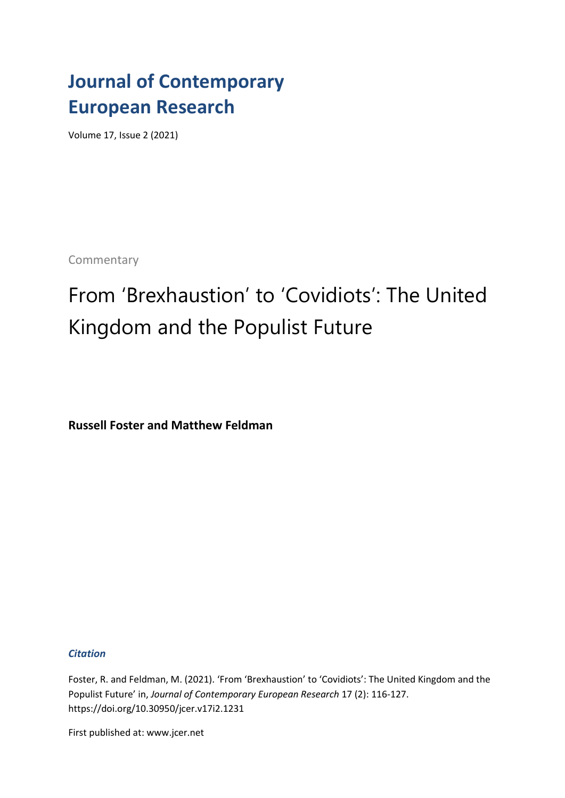### **Journal of Contemporary European Research**

Volume 17, Issue 2 (2021)

**Commentary** 

# From 'Brexhaustion' to 'Covidiots': The United Kingdom and the Populist Future

**Russell Foster and Matthew Feldman**

*Citation*

Foster, R. and Feldman, M. (2021). 'From 'Brexhaustion' to 'Covidiots': The United Kingdom and the Populist Future' in, *Journal of Contemporary European Research* 17 (2): 116-127. https://doi.org/10.30950/jcer.v17i2.1231

First published at: www.jcer.net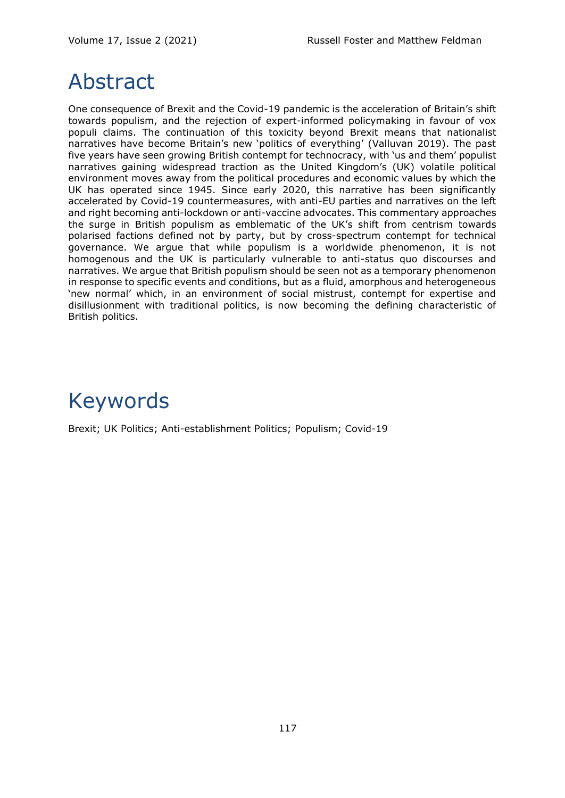## Abstract

One consequence of Brexit and the Covid-19 pandemic is the acceleration of Britain's shift towards populism, and the rejection of expert-informed policymaking in favour of vox populi claims. The continuation of this toxicity beyond Brexit means that nationalist narratives have become Britain's new 'politics of everything' (Valluvan 2019). The past five years have seen growing British contempt for technocracy, with 'us and them' populist narratives gaining widespread traction as the United Kingdom's (UK) volatile political environment moves away from the political procedures and economic values by which the UK has operated since 1945. Since early 2020, this narrative has been significantly accelerated by Covid-19 countermeasures, with anti-EU parties and narratives on the left and right becoming anti-lockdown or anti-vaccine advocates. This commentary approaches the surge in British populism as emblematic of the UK's shift from centrism towards polarised factions defined not by party, but by cross-spectrum contempt for technical governance. We argue that while populism is a worldwide phenomenon, it is not homogenous and the UK is particularly vulnerable to anti-status quo discourses and narratives. We argue that British populism should be seen not as a temporary phenomenon in response to specific events and conditions, but as a fluid, amorphous and heterogeneous 'new normal' which, in an environment of social mistrust, contempt for expertise and disillusionment with traditional politics, is now becoming the defining characteristic of British politics.

# Keywords

Brexit; UK Politics; Anti-establishment Politics; Populism; Covid-19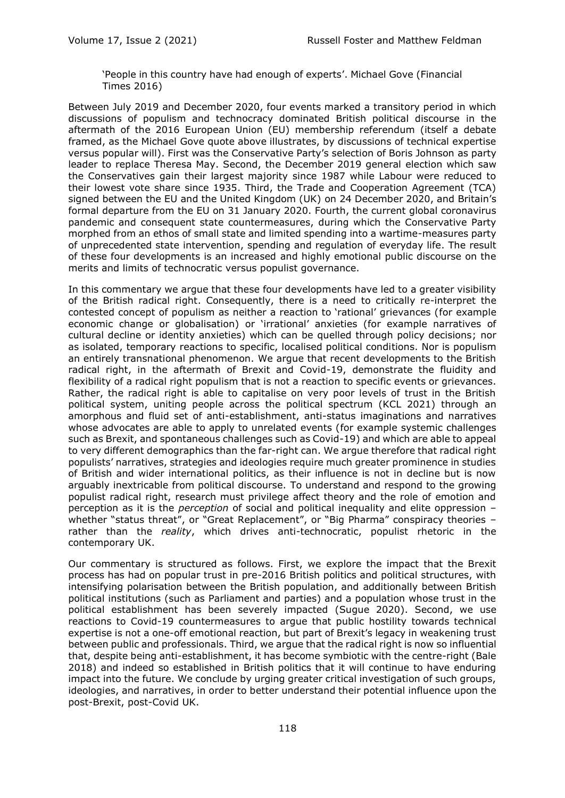'People in this country have had enough of experts'. Michael Gove (Financial Times 2016)

Between July 2019 and December 2020, four events marked a transitory period in which discussions of populism and technocracy dominated British political discourse in the aftermath of the 2016 European Union (EU) membership referendum (itself a debate framed, as the Michael Gove quote above illustrates, by discussions of technical expertise versus popular will). First was the Conservative Party's selection of Boris Johnson as party leader to replace Theresa May. Second, the December 2019 general election which saw the Conservatives gain their largest majority since 1987 while Labour were reduced to their lowest vote share since 1935. Third, the Trade and Cooperation Agreement (TCA) signed between the EU and the United Kingdom (UK) on 24 December 2020, and Britain's formal departure from the EU on 31 January 2020. Fourth, the current global coronavirus pandemic and consequent state countermeasures, during which the Conservative Party morphed from an ethos of small state and limited spending into a wartime-measures party of unprecedented state intervention, spending and regulation of everyday life. The result of these four developments is an increased and highly emotional public discourse on the merits and limits of technocratic versus populist governance.

In this commentary we argue that these four developments have led to a greater visibility of the British radical right. Consequently, there is a need to critically re-interpret the contested concept of populism as neither a reaction to 'rational' grievances (for example economic change or globalisation) or 'irrational' anxieties (for example narratives of cultural decline or identity anxieties) which can be quelled through policy decisions; nor as isolated, temporary reactions to specific, localised political conditions. Nor is populism an entirely transnational phenomenon. We argue that recent developments to the British radical right, in the aftermath of Brexit and Covid-19, demonstrate the fluidity and flexibility of a radical right populism that is not a reaction to specific events or grievances. Rather, the radical right is able to capitalise on very poor levels of trust in the British political system, uniting people across the political spectrum (KCL 2021) through an amorphous and fluid set of anti-establishment, anti-status imaginations and narratives whose advocates are able to apply to unrelated events (for example systemic challenges such as Brexit, and spontaneous challenges such as Covid-19) and which are able to appeal to very different demographics than the far-right can. We argue therefore that radical right populists' narratives, strategies and ideologies require much greater prominence in studies of British and wider international politics, as their influence is not in decline but is now arguably inextricable from political discourse. To understand and respond to the growing populist radical right, research must privilege affect theory and the role of emotion and perception as it is the *perception* of social and political inequality and elite oppression – whether "status threat", or "Great Replacement", or "Big Pharma" conspiracy theories rather than the *reality*, which drives anti-technocratic, populist rhetoric in the contemporary UK.

Our commentary is structured as follows. First, we explore the impact that the Brexit process has had on popular trust in pre-2016 British politics and political structures, with intensifying polarisation between the British population, and additionally between British political institutions (such as Parliament and parties) and a population whose trust in the political establishment has been severely impacted (Sugue 2020). Second, we use reactions to Covid-19 countermeasures to argue that public hostility towards technical expertise is not a one-off emotional reaction, but part of Brexit's legacy in weakening trust between public and professionals. Third, we argue that the radical right is now so influential that, despite being anti-establishment, it has become symbiotic with the centre-right (Bale 2018) and indeed so established in British politics that it will continue to have enduring impact into the future. We conclude by urging greater critical investigation of such groups, ideologies, and narratives, in order to better understand their potential influence upon the post-Brexit, post-Covid UK.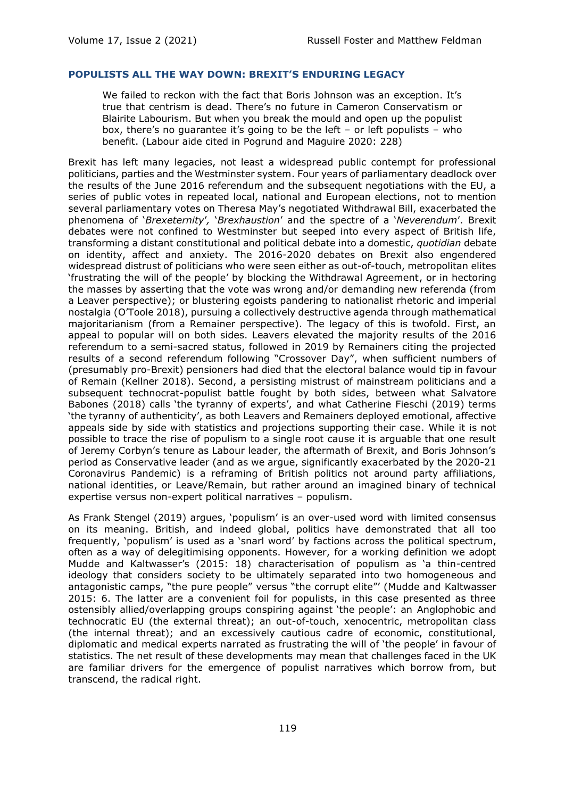#### **POPULISTS ALL THE WAY DOWN: BREXIT'S ENDURING LEGACY**

We failed to reckon with the fact that Boris Johnson was an exception. It's true that centrism is dead. There's no future in Cameron Conservatism or Blairite Labourism. But when you break the mould and open up the populist box, there's no quarantee it's going to be the left – or left populists – who benefit. (Labour aide cited in Pogrund and Maguire 2020: 228)

Brexit has left many legacies, not least a widespread public contempt for professional politicians, parties and the Westminster system. Four years of parliamentary deadlock over the results of the June 2016 referendum and the subsequent negotiations with the EU, a series of public votes in repeated local, national and European elections, not to mention several parliamentary votes on Theresa May's negotiated Withdrawal Bill, exacerbated the phenomena of '*Brexeternity*'*,* '*Brexhaustion*' and the spectre of a '*Neverendum*'. Brexit debates were not confined to Westminster but seeped into every aspect of British life, transforming a distant constitutional and political debate into a domestic, *quotidian* debate on identity, affect and anxiety. The 2016-2020 debates on Brexit also engendered widespread distrust of politicians who were seen either as out-of-touch, metropolitan elites 'frustrating the will of the people' by blocking the Withdrawal Agreement, or in hectoring the masses by asserting that the vote was wrong and/or demanding new referenda (from a Leaver perspective); or blustering egoists pandering to nationalist rhetoric and imperial nostalgia (O'Toole 2018), pursuing a collectively destructive agenda through mathematical majoritarianism (from a Remainer perspective). The legacy of this is twofold. First, an appeal to popular will on both sides. Leavers elevated the majority results of the 2016 referendum to a semi-sacred status, followed in 2019 by Remainers citing the projected results of a second referendum following "Crossover Day", when sufficient numbers of (presumably pro-Brexit) pensioners had died that the electoral balance would tip in favour of Remain (Kellner 2018). Second, a persisting mistrust of mainstream politicians and a subsequent technocrat-populist battle fought by both sides, between what Salvatore Babones (2018) calls 'the tyranny of experts', and what Catherine Fieschi (2019) terms 'the tyranny of authenticity', as both Leavers and Remainers deployed emotional, affective appeals side by side with statistics and projections supporting their case. While it is not possible to trace the rise of populism to a single root cause it is arguable that one result of Jeremy Corbyn's tenure as Labour leader, the aftermath of Brexit, and Boris Johnson's period as Conservative leader (and as we argue, significantly exacerbated by the 2020-21 Coronavirus Pandemic) is a reframing of British politics not around party affiliations, national identities, or Leave/Remain, but rather around an imagined binary of technical expertise versus non-expert political narratives – populism.

As Frank Stengel (2019) argues, 'populism' is an over-used word with limited consensus on its meaning. British, and indeed global, politics have demonstrated that all too frequently, 'populism' is used as a 'snarl word' by factions across the political spectrum, often as a way of delegitimising opponents. However, for a working definition we adopt Mudde and Kaltwasser's (2015: 18) characterisation of populism as 'a thin-centred ideology that considers society to be ultimately separated into two homogeneous and antagonistic camps, "the pure people" versus "the corrupt elite"' (Mudde and Kaltwasser 2015: 6. The latter are a convenient foil for populists, in this case presented as three ostensibly allied/overlapping groups conspiring against 'the people': an Anglophobic and technocratic EU (the external threat); an out-of-touch, xenocentric, metropolitan class (the internal threat); and an excessively cautious cadre of economic, constitutional, diplomatic and medical experts narrated as frustrating the will of 'the people' in favour of statistics. The net result of these developments may mean that challenges faced in the UK are familiar drivers for the emergence of populist narratives which borrow from, but transcend, the radical right.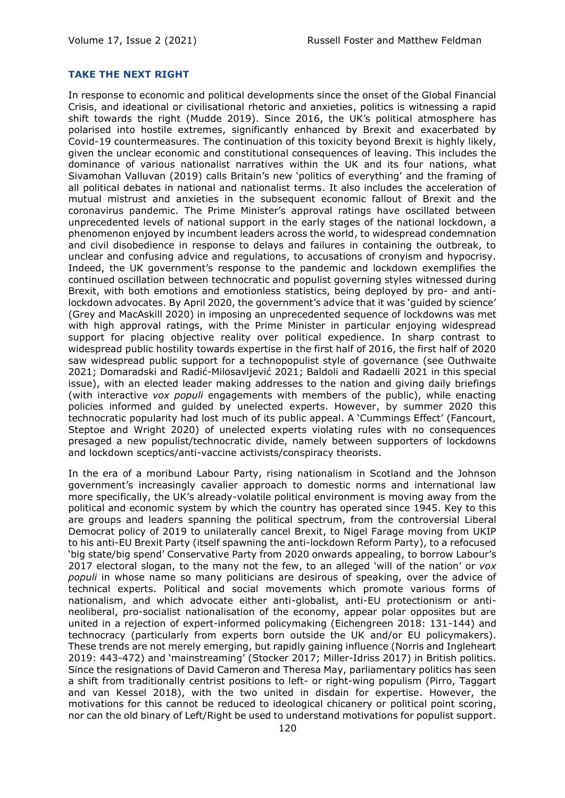### **TAKE THE NEXT RIGHT**

In response to economic and political developments since the onset of the Global Financial Crisis, and ideational or civilisational rhetoric and anxieties, politics is witnessing a rapid shift towards the right (Mudde 2019). Since 2016, the UK's political atmosphere has polarised into hostile extremes, significantly enhanced by Brexit and exacerbated by Covid-19 countermeasures. The continuation of this toxicity beyond Brexit is highly likely, given the unclear economic and constitutional consequences of leaving. This includes the dominance of various nationalist narratives within the UK and its four nations, what Sivamohan Valluvan (2019) calls Britain's new 'politics of everything' and the framing of all political debates in national and nationalist terms. It also includes the acceleration of mutual mistrust and anxieties in the subsequent economic fallout of Brexit and the coronavirus pandemic. The Prime Minister's approval ratings have oscillated between unprecedented levels of national support in the early stages of the national lockdown, a phenomenon enjoyed by incumbent leaders across the world, to widespread condemnation and civil disobedience in response to delays and failures in containing the outbreak, to unclear and confusing advice and regulations, to accusations of cronyism and hypocrisy. Indeed, the UK government's response to the pandemic and lockdown exemplifies the continued oscillation between technocratic and populist governing styles witnessed during Brexit, with both emotions and emotionless statistics, being deployed by pro- and antilockdown advocates. By April 2020, the government's advice that it was 'guided by science' (Grey and MacAskill 2020) in imposing an unprecedented sequence of lockdowns was met with high approval ratings, with the Prime Minister in particular enjoying widespread support for placing objective reality over political expedience. In sharp contrast to widespread public hostility towards expertise in the first half of 2016, the first half of 2020 saw widespread public support for a technopopulist style of governance (see Outhwaite 2021; Domaradski and Radić-Milosavljević 2021; Baldoli and Radaelli 2021 in this special issue), with an elected leader making addresses to the nation and giving daily briefings (with interactive *vox populi* engagements with members of the public), while enacting policies informed and guided by unelected experts. However, by summer 2020 this technocratic popularity had lost much of its public appeal. A 'Cummings Effect' (Fancourt, Steptoe and Wright 2020) of unelected experts violating rules with no consequences presaged a new populist/technocratic divide, namely between supporters of lockdowns and lockdown sceptics/anti-vaccine activists/conspiracy theorists.

In the era of a moribund Labour Party, rising nationalism in Scotland and the Johnson government's increasingly cavalier approach to domestic norms and international law more specifically, the UK's already-volatile political environment is moving away from the political and economic system by which the country has operated since 1945. Key to this are groups and leaders spanning the political spectrum, from the controversial Liberal Democrat policy of 2019 to unilaterally cancel Brexit, to Nigel Farage moving from UKIP to his anti-EU Brexit Party (itself spawning the anti-lockdown Reform Party), to a refocused 'big state/big spend' Conservative Party from 2020 onwards appealing, to borrow Labour's 2017 electoral slogan, to the many not the few, to an alleged 'will of the nation' or *vox populi* in whose name so many politicians are desirous of speaking, over the advice of technical experts. Political and social movements which promote various forms of nationalism, and which advocate either anti-globalist, anti-EU protectionism or antineoliberal, pro-socialist nationalisation of the economy, appear polar opposites but are united in a rejection of expert-informed policymaking (Eichengreen 2018: 131-144) and technocracy (particularly from experts born outside the UK and/or EU policymakers). These trends are not merely emerging, but rapidly gaining influence (Norris and Ingleheart 2019: 443-472) and 'mainstreaming' (Stocker 2017; Miller-Idriss 2017) in British politics. Since the resignations of David Cameron and Theresa May, parliamentary politics has seen a shift from traditionally centrist positions to left- or right-wing populism (Pirro, Taggart and van Kessel 2018), with the two united in disdain for expertise. However, the motivations for this cannot be reduced to ideological chicanery or political point scoring, nor can the old binary of Left/Right be used to understand motivations for populist support.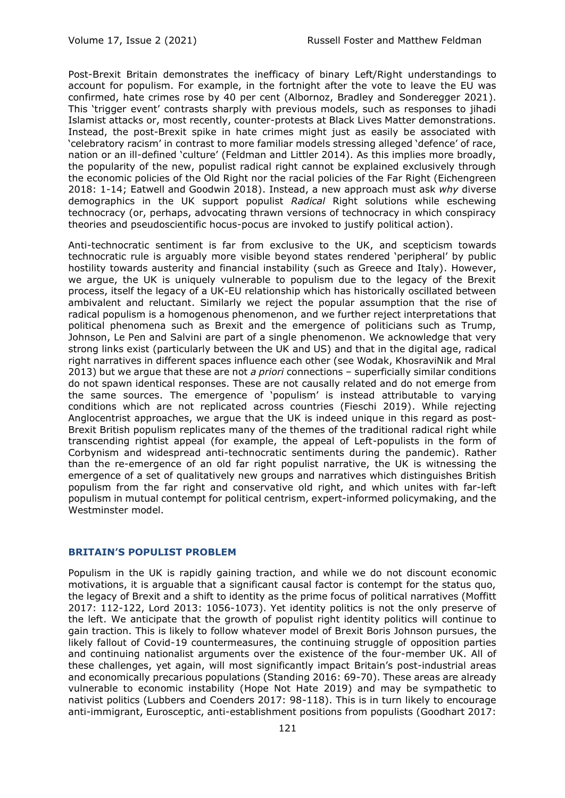Post-Brexit Britain demonstrates the inefficacy of binary Left/Right understandings to account for populism. For example, in the fortnight after the vote to leave the EU was confirmed, hate crimes rose by 40 per cent (Albornoz, Bradley and Sonderegger 2021). This 'trigger event' contrasts sharply with previous models, such as responses to jihadi Islamist attacks or, most recently, counter-protests at Black Lives Matter demonstrations. Instead, the post-Brexit spike in hate crimes might just as easily be associated with 'celebratory racism' in contrast to more familiar models stressing alleged 'defence' of race, nation or an ill-defined 'culture' (Feldman and Littler 2014). As this implies more broadly, the popularity of the new, populist radical right cannot be explained exclusively through the economic policies of the Old Right nor the racial policies of the Far Right (Eichengree[n](https://global.oup.com/academic/product/the-populist-temptation-9780190866280?cc=gb&lang=en&) 2018: 1-14; Eatwell and Goodwin 2018). Instead, a new approach must ask *why* diverse demographics in the UK support populist *Radical* Right solutions while eschewing technocracy (or, perhaps, advocating thrawn versions of technocracy in which conspiracy theories and pseudoscientific hocus-pocus are invoked to justify political action).

Anti-technocratic sentiment is far from exclusive to the UK, and scepticism towards technocratic rule is arguably more visible beyond states rendered 'peripheral' by public hostility towards austerity and financial instability (such as Greece and Italy). However, we argue, the UK is uniquely vulnerable to populism due to the legacy of the Brexit process, itself the legacy of a UK-EU relationship which has historically oscillated between ambivalent and reluctant. Similarly we reject the popular assumption that the rise of radical populism is a homogenous phenomenon, and we further reject interpretations that political phenomena such as Brexit and the emergence of politicians such as Trump, Johnson, Le Pen and Salvini are part of a single phenomenon. We acknowledge that very strong links exist (particularly between the UK and US) and that in the digital age, radical right narratives in different spaces influence each other (see Wodak, KhosraviNik and Mral 2013) but we argue that these are not *a priori* connections – superficially similar conditions do not spawn identical responses. These are not causally related and do not emerge from the same sources. The emergence of 'populism' is instead attributable to varying conditions which are not replicated across countries (Fieschi 2019). While rejecting Anglocentrist approaches, we argue that the UK is indeed unique in this regard as post-Brexit British populism replicates many of the themes of the traditional radical right while transcending rightist appeal (for example, the appeal of Left-populists in the form of Corbynism and widespread anti-technocratic sentiments during the pandemic). Rather than the re-emergence of an old far right populist narrative, the UK is witnessing the emergence of a set of qualitatively new groups and narratives which distinguishes British populism from the far right and conservative old right, and which unites with far-left populism in mutual contempt for political centrism, expert-informed policymaking, and the Westminster model.

#### **BRITAIN'S POPULIST PROBLEM**

Populism in the UK is rapidly gaining traction, and while we do not discount economic motivations, it is arguable that a significant causal factor is contempt for the status quo, the legacy of Brexit and a shift to identity as the prime focus of political narratives (Moffitt 2017: 112-122, Lord 2013: 1056-1073). Yet identity politics is not the only preserve of the left. We anticipate that the growth of populist right identity politics will continue to gain traction. This is likely to follow whatever model of Brexit Boris Johnson pursues, the likely fallout of Covid-19 countermeasures, the continuing struggle of opposition parties and continuing nationalist arguments over the existence of the four-member UK. All of these challenges, yet again, will most significantly impact Britain's post-industrial areas and economically precarious populations (Standing 2016: 69-70). These areas are already vulnerable to economic instability (Hope Not Hate 2019) and may be sympathetic to nativist politics (Lubbers and Coenders 2017: 98-118). This is in turn likely to encourage anti-immigrant, Eurosceptic, anti-establishment positions from populists (Goodhart 2017: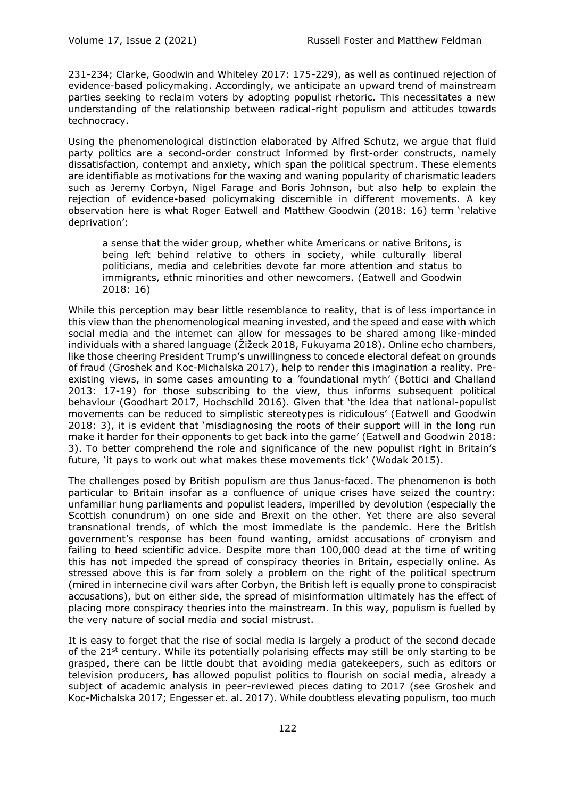231-234; Clarke, Goodwin and Whiteley 2017: 175-229), as well as continued rejection of evidence-based policymaking. Accordingly, we anticipate an upward trend of mainstream parties seeking to reclaim voters by adopting populist rhetoric. This necessitates a new understanding of the relationship between radical-right populism and attitudes towards technocracy.

Using the phenomenological distinction elaborated by Alfred Schutz, we argue that fluid party politics are a second-order construct informed by first-order constructs, namely dissatisfaction, contempt and anxiety, which span the political spectrum. These elements are identifiable as motivations for the waxing and waning popularity of charismatic leaders such as Jeremy Corbyn, Nigel Farage and Boris Johnson, but also help to explain the rejection of evidence-based policymaking discernible in different movements. A key observation here is what Roger Eatwell and Matthew Goodwin (2018: 16) term 'relative deprivation':

a sense that the wider group, whether white Americans or native Britons, is being left behind relative to others in society, while culturally liberal politicians, media and celebrities devote far more attention and status to immigrants, ethnic minorities and other newcomers. (Eatwell and Goodwin 2018: 16)

While this perception may bear little resemblance to reality, that is of less importance in this view than the phenomenological meaning invested, and the speed and ease with which social media and the internet can allow for messages to be shared among like-minded individuals with a shared language (Žižeck 2018, Fukuyama 2018). Online echo chambers, like those cheering President Trump's unwillingness to concede electoral defeat on grounds of fraud (Groshek and Koc-Michalska 2017), help to render this imagination a reality. Preexisting views, in some cases amounting to a 'foundational myth' (Bottici and Challand 2013: 17-19) for those subscribing to the view, thus informs subsequent political behaviour (Goodhart 2017, Hochschild 2016). Given that 'the idea that national-populist movements can be reduced to simplistic stereotypes is ridiculous' (Eatwell and Goodwin 2018: 3), it is evident that 'misdiagnosing the roots of their support will in the long run make it harder for their opponents to get back into the game' (Eatwell and Goodwin 2018: 3). To better comprehend the role and significance of the new populist right in Britain's future, 'it pays to work out what makes these movements tick' (Wodak 2015).

The challenges posed by British populism are thus Janus-faced. The phenomenon is both particular to Britain insofar as a confluence of unique crises have seized the country: unfamiliar hung parliaments and populist leaders, imperilled by devolution (especially the Scottish conundrum) on one side and Brexit on the other. Yet there are also several transnational trends, of which the most immediate is the pandemic. Here the British government's response has been found wanting, amidst accusations of cronyism and failing to heed scientific advice. Despite more than 100,000 dead at the time of writing this has not impeded the spread of conspiracy theories in Britain, especially online. As stressed above this is far from solely a problem on the right of the political spectrum (mired in internecine civil wars after Corbyn, the British left is equally prone to conspiracist accusations), but on either side, the spread of misinformation ultimately has the effect of placing more conspiracy theories into the mainstream. In this way, populism is fuelled by the very nature of social media and social mistrust.

It is easy to forget that the rise of social media is largely a product of the second decade of the  $21^{st}$  century. While its potentially polarising effects may still be only starting to be grasped, there can be little doubt that avoiding media gatekeepers, such as editors or television producers, has allowed populist politics to flourish on social media, already a subject of academic analysis in peer-reviewed pieces dating to 2017 (see Groshek and Koc-Michalska 2017; Engesser et. al. 2017). While doubtless elevating populism, too much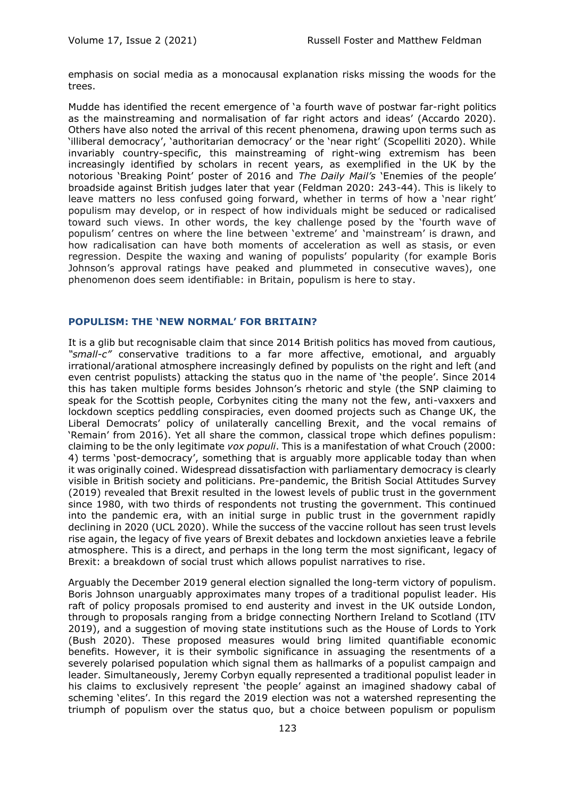emphasis on social media as a monocausal explanation risks missing the woods for the trees.

Mudde has identified the recent emergence of 'a fourth wave of postwar far-right politics as the mainstreaming and normalisation of far right actors and ideas' (Accardo 2020). Others have also noted the arrival of this recent phenomena, drawing upon terms such as 'illiberal democracy', 'authoritarian democracy' or the 'near right' (Scopelliti 2020). While invariably country-specific, this mainstreaming of right-wing extremism has been increasingly identified by scholars in recent years, as exemplified in the UK by the notorious 'Breaking Point' poster of 2016 and *The Daily Mail's* 'Enemies of the people' broadside against British judges later that year (Feldman 2020: 243-44). This is likely to leave matters no less confused going forward, whether in terms of how a 'near right' populism may develop, or in respect of how individuals might be seduced or radicalised toward such views. In other words, the key challenge posed by the 'fourth wave of populism' centres on where the line between 'extreme' and 'mainstream' is drawn, and how radicalisation can have both moments of acceleration as well as stasis, or even regression. Despite the waxing and waning of populists' popularity (for example Boris Johnson's approval ratings have peaked and plummeted in consecutive waves), one phenomenon does seem identifiable: in Britain, populism is here to stay.

#### **POPULISM: THE 'NEW NORMAL' FOR BRITAIN?**

It is a glib but recognisable claim that since 2014 British politics has moved from cautious, *"small-c"* conservative traditions to a far more affective, emotional, and arguably irrational/arational atmosphere increasingly defined by populists on the right and left (and even centrist populists) attacking the status quo in the name of 'the people'. Since 2014 this has taken multiple forms besides Johnson's rhetoric and style (the SNP claiming to speak for the Scottish people, Corbynites citing the many not the few, anti-vaxxers and lockdown sceptics peddling conspiracies, even doomed projects such as Change UK, the Liberal Democrats' policy of unilaterally cancelling Brexit, and the vocal remains of 'Remain' from 2016). Yet all share the common, classical trope which defines populism: claiming to be the only legitimate *vox populi*. This is a manifestation of what Crouch (2000: 4) terms 'post-democracy', something that is arguably more applicable today than when it was originally coined. Widespread dissatisfaction with parliamentary democracy is clearly visible in British society and politicians. Pre-pandemic, the British Social Attitudes Survey (2019) revealed that Brexit resulted in the lowest levels of public trust in the government since 1980, with two thirds of respondents not trusting the government. This continued into the pandemic era, with an initial surge in public trust in the government rapidly declining in 2020 (UCL 2020). While the success of the vaccine rollout has seen trust levels rise again, the legacy of five years of Brexit debates and lockdown anxieties leave a febrile atmosphere. This is a direct, and perhaps in the long term the most significant, legacy of Brexit: a breakdown of social trust which allows populist narratives to rise.

Arguably the December 2019 general election signalled the long-term victory of populism. Boris Johnson unarguably approximates many tropes of a traditional populist leader. His raft of policy proposals promised to end austerity and invest in the UK outside London, through to proposals ranging from a bridge connecting Northern Ireland to Scotland (ITV 2019), and a suggestion of moving state institutions such as the House of Lords to York (Bush 2020). These proposed measures would bring limited quantifiable economic benefits. However, it is their symbolic significance in assuaging the resentments of a severely polarised population which signal them as hallmarks of a populist campaign and leader. Simultaneously, Jeremy Corbyn equally represented a traditional populist leader in his claims to exclusively represent 'the people' against an imagined shadowy cabal of scheming 'elites'. In this regard the 2019 election was not a watershed representing the triumph of populism over the status quo, but a choice between populism or populism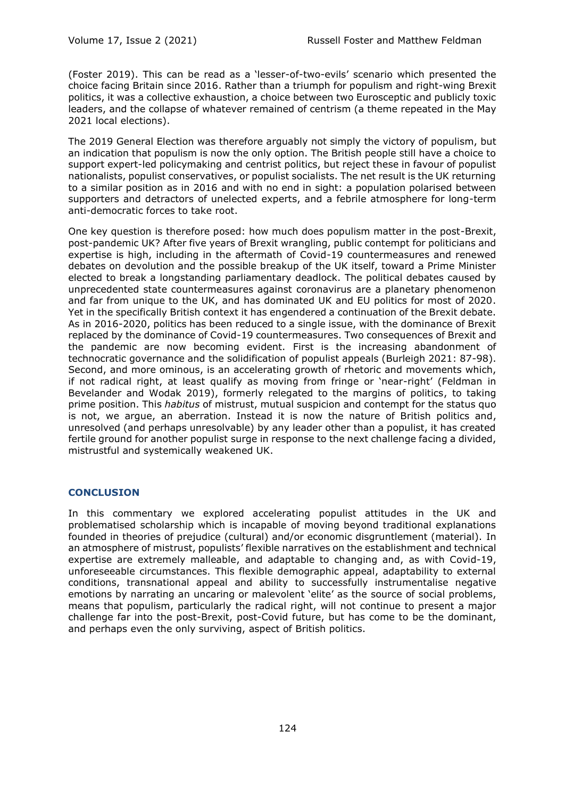(Foster 2019). This can be read as a 'lesser-of-two-evils' scenario which presented the choice facing Britain since 2016. Rather than a triumph for populism and right-wing Brexit politics, it was a collective exhaustion, a choice between two Eurosceptic and publicly toxic leaders, and the collapse of whatever remained of centrism (a theme repeated in the May 2021 local elections).

The 2019 General Election was therefore arguably not simply the victory of populism, but an indication that populism is now the only option. The British people still have a choice to support expert-led policymaking and centrist politics, but reject these in favour of populist nationalists, populist conservatives, or populist socialists. The net result is the UK returning to a similar position as in 2016 and with no end in sight: a population polarised between supporters and detractors of unelected experts, and a febrile atmosphere for long-term anti-democratic forces to take root.

One key question is therefore posed: how much does populism matter in the post-Brexit, post-pandemic UK? After five years of Brexit wrangling, public contempt for politicians and expertise is high, including in the aftermath of Covid-19 countermeasures and renewed debates on devolution and the possible breakup of the UK itself, toward a Prime Minister elected to break a longstanding parliamentary deadlock. The political debates caused by unprecedented state countermeasures against coronavirus are a planetary phenomenon and far from unique to the UK, and has dominated UK and EU politics for most of 2020. Yet in the specifically British context it has engendered a continuation of the Brexit debate. As in 2016-2020, politics has been reduced to a single issue, with the dominance of Brexit replaced by the dominance of Covid-19 countermeasures. Two consequences of Brexit and the pandemic are now becoming evident. First is the increasing abandonment of technocratic governance and the solidification of populist appeals (Burleigh 2021: 87-98). Second, and more ominous, is an accelerating growth of rhetoric and movements which, if not radical right, at least qualify as moving from fringe or 'near-right' (Feldman in Bevelander and Wodak 2019), formerly relegated to the margins of politics, to taking prime position. This *habitus* of mistrust, mutual suspicion and contempt for the status quo is not, we argue, an aberration. Instead it is now the nature of British politics and, unresolved (and perhaps unresolvable) by any leader other than a populist, it has created fertile ground for another populist surge in response to the next challenge facing a divided, mistrustful and systemically weakened UK.

### **CONCLUSION**

In this commentary we explored accelerating populist attitudes in the UK and problematised scholarship which is incapable of moving beyond traditional explanations founded in theories of prejudice (cultural) and/or economic disgruntlement (material). In an atmosphere of mistrust, populists' flexible narratives on the establishment and technical expertise are extremely malleable, and adaptable to changing and, as with Covid-19, unforeseeable circumstances. This flexible demographic appeal, adaptability to external conditions, transnational appeal and ability to successfully instrumentalise negative emotions by narrating an uncaring or malevolent 'elite' as the source of social problems, means that populism, particularly the radical right, will not continue to present a major challenge far into the post-Brexit, post-Covid future, but has come to be the dominant, and perhaps even the only surviving, aspect of British politics.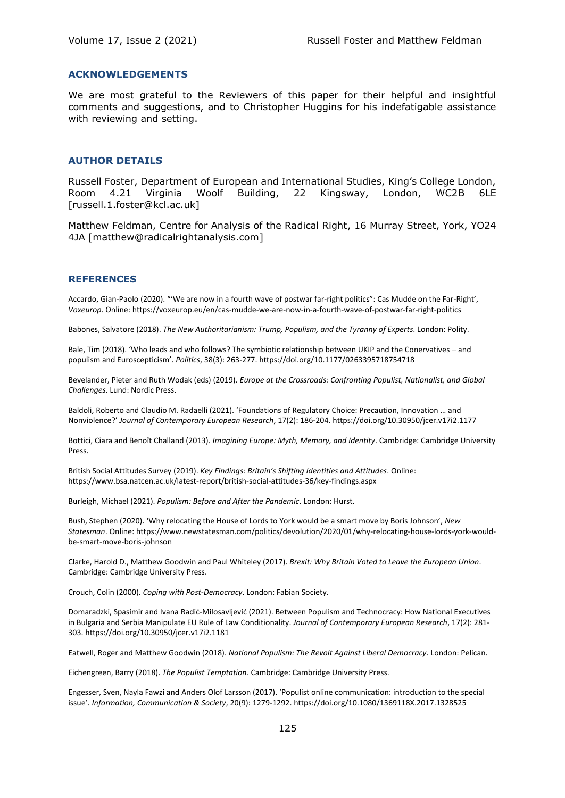#### **ACKNOWLEDGEMENTS**

We are most grateful to the Reviewers of this paper for their helpful and insightful comments and suggestions, and to Christopher Huggins for his indefatigable assistance with reviewing and setting.

#### **AUTHOR DETAILS**

Russell Foster, Department of European and International Studies, King's College London, Room 4.21 Virginia Woolf Building, 22 Kingsway, London, WC2B 6LE [russell.1.foster@kcl.ac.uk]

Matthew Feldman, Centre for Analysis of the Radical Right, 16 Murray Street, York, YO24 4JA [matthew@radicalrightanalysis.com]

#### **REFERENCES**

Accardo, Gian-Paolo (2020). "'We are now in a fourth wave of postwar far-right politics": Cas Mudde on the Far-Right', *Voxeurop*. Online: https://voxeurop.eu/en/cas-mudde-we-are-now-in-a-fourth-wave-of-postwar-far-right-politics

Babones, Salvatore (2018). *The New Authoritarianism: Trump, Populism, and the Tyranny of Experts*. London: Polity.

Bale, Tim (2018). 'Who leads and who follows? The symbiotic relationship between UKIP and the Conervatives – and populism and Euroscepticism'. *Politics*, 38(3): 263-277. https://doi.org/10.1177/0263395718754718

Bevelander, Pieter and Ruth Wodak (eds) (2019). *Europe at the Crossroads: Confronting Populist, Nationalist, and Global Challenges*. Lund: Nordic Press.

Baldoli, Roberto and Claudio M. Radaelli (2021). 'Foundations of Regulatory Choice: Precaution, Innovation … and Nonviolence?' *Journal of Contemporary European Research*, 17(2): 186-204. https://doi.org/10.30950/jcer.v17i2.1177

Bottici, Ciara and Benoît Challand (2013). *Imagining Europe: Myth, Memory, and Identity*. Cambridge: Cambridge University Press.

British Social Attitudes Survey (2019). *Key Findings: Britain's Shifting Identities and Attitudes*. Online: https://www.bsa.natcen.ac.uk/latest-report/british-social-attitudes-36/key-findings.aspx

Burleigh, Michael (2021). *Populism: Before and After the Pandemic*. London: Hurst.

Bush, Stephen (2020). 'Why relocating the House of Lords to York would be a smart move by Boris Johnson', *New Statesman*. Online: https://www.newstatesman.com/politics/devolution/2020/01/why-relocating-house-lords-york-wouldbe-smart-move-boris-johnson

Clarke, Harold D., Matthew Goodwin and Paul Whiteley (2017). *Brexit: Why Britain Voted to Leave the European Union*. Cambridge: Cambridge University Press.

Crouch, Colin (2000). *Coping with Post-Democracy*. London: Fabian Society.

Domaradzki, Spasimir and Ivana Radić-Milosavljević (2021). Between Populism and Technocracy: How National Executives in Bulgaria and Serbia Manipulate EU Rule of Law Conditionality. *Journal of Contemporary European Research*, 17(2): 281- 303. https://doi.org/10.30950/jcer.v17i2.1181

Eatwell, Roger and Matthew Goodwin (2018). *National Populism: The Revolt Against Liberal Democracy*. London: Pelican.

Eichengreen, Barry (2018). *The Populist Temptation.* Cambridge: Cambridge University Press.

Engesser, Sven, Nayla Fawzi and Anders Olof Larsson (2017). 'Populist online communication: introduction to the special issue'. *Information, Communication & Society*, 20(9): 1279-1292. https://doi.org/10.1080/1369118X.2017.1328525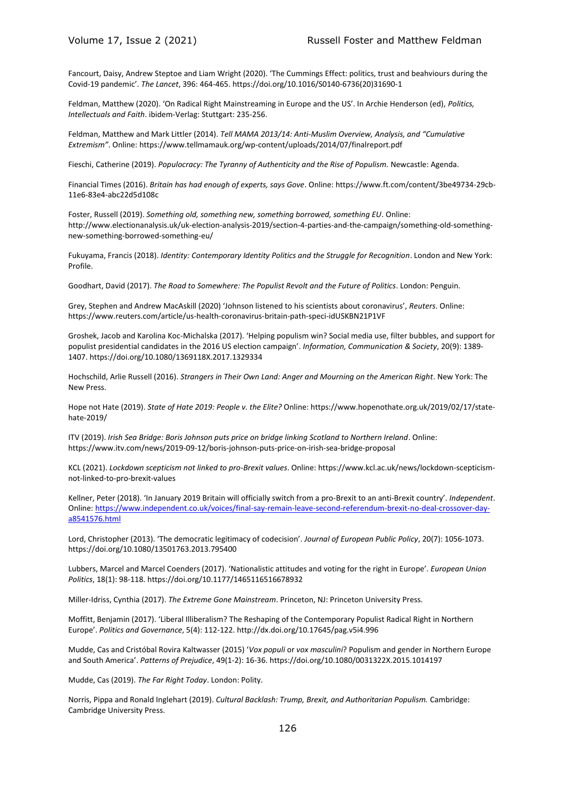Fancourt, Daisy, Andrew Steptoe and Liam Wright (2020). 'The Cummings Effect: politics, trust and beahviours during the Covid-19 pandemic'. *The Lancet*, 396: 464-465. https://doi.org/10.1016/S0140-6736(20)31690-1

Feldman, Matthew (2020). 'On Radical Right Mainstreaming in Europe and the US'. In Archie Henderson (ed), *Politics, Intellectuals and Faith*. ibidem-Verlag: Stuttgart: 235-256.

Feldman, Matthew and Mark Littler (2014). *Tell MAMA 2013/14: Anti-Muslim Overview, Analysis, and "Cumulative Extremism"*. Online: https://www.tellmamauk.org/wp-content/uploads/2014/07/finalreport.pdf

Fieschi, Catherine (2019). *Populocracy: The Tyranny of Authenticity and the Rise of Populism.* Newcastle: Agenda.

Financial Times (2016). *Britain has had enough of experts, says Gove*. Online: https://www.ft.com/content/3be49734-29cb-11e6-83e4-abc22d5d108c

Foster, Russell (2019). *Something old, something new, something borrowed, something EU*. Online: http://www.electionanalysis.uk/uk-election-analysis-2019/section-4-parties-and-the-campaign/something-old-somethingnew-something-borrowed-something-eu/

Fukuyama, Francis (2018). *Identity: Contemporary Identity Politics and the Struggle for Recognition*. London and New York: Profile.

Goodhart, David (2017). *The Road to Somewhere: The Populist Revolt and the Future of Politics*. London: Penguin.

Grey, Stephen and Andrew MacAskill (2020) 'Johnson listened to his scientists about coronavirus', *Reuters*. Online: https://www.reuters.com/article/us-health-coronavirus-britain-path-speci-idUSKBN21P1VF

Groshek, Jacob and Karolina Koc-Michalska (2017). 'Helping populism win? Social media use, filter bubbles, and support for populist presidential candidates in the 2016 US election campaign'. *Information, Communication & Society*, 20(9): 1389- 1407. https://doi.org/10.1080/1369118X.2017.1329334

Hochschild, Arlie Russell (2016). *Strangers in Their Own Land: Anger and Mourning on the American Right*. New York: The New Press.

Hope not Hate (2019). *State of Hate 2019: People v. the Elite?* Online: https://www.hopenothate.org.uk/2019/02/17/statehate-2019/

ITV (2019). *Irish Sea Bridge: Boris Johnson puts price on bridge linking Scotland to Northern Ireland*. Online: https://www.itv.com/news/2019-09-12/boris-johnson-puts-price-on-irish-sea-bridge-proposal

KCL (2021). *Lockdown scepticism not linked to pro-Brexit values*. Online: https://www.kcl.ac.uk/news/lockdown-scepticismnot-linked-to-pro-brexit-values

Kellner, Peter (2018). 'In January 2019 Britain will officially switch from a pro-Brexit to an anti-Brexit country'. *Independent*. Online[: https://www.independent.co.uk/voices/final-say-remain-leave-second-referendum-brexit-no-deal-crossover-day](https://www.independent.co.uk/voices/final-say-remain-leave-second-referendum-brexit-no-deal-crossover-day-a8541576.html)[a8541576.html](https://www.independent.co.uk/voices/final-say-remain-leave-second-referendum-brexit-no-deal-crossover-day-a8541576.html)

Lord, Christopher (2013). 'The democratic legitimacy of codecision'. *Journal of European Public Policy*, 20(7): 1056-1073. https://doi.org/10.1080/13501763.2013.795400

Lubbers, Marcel and Marcel Coenders (2017). 'Nationalistic attitudes and voting for the right in Europe'. *European Union Politics*, 18(1): 98-118. https://doi.org/10.1177/1465116516678932

Miller-Idriss, Cynthia (2017). *The Extreme Gone Mainstream*. Princeton, NJ: Princeton University Press.

Moffitt, Benjamin (2017). 'Liberal Illiberalism? The Reshaping of the Contemporary Populist Radical Right in Northern Europe'. *Politics and Governance*, 5(4): 112-122. http://dx.doi.org/10.17645/pag.v5i4.996

Mudde, Cas and Cristóbal Rovira Kaltwasser (2015) '*Vox populi* or *vox masculini*? Populism and gender in Northern Europe and South America'. *Patterns of Prejudice*, 49(1-2): 16-36. https://doi.org/10.1080/0031322X.2015.1014197

Mudde, Cas (2019). *The Far Right Today*. London: Polity.

Norris, Pippa and Ronald Inglehart (2019). *Cultural Backlash: Trump, Brexit, and Authoritarian Populism.* Cambridge: Cambridge University Press.